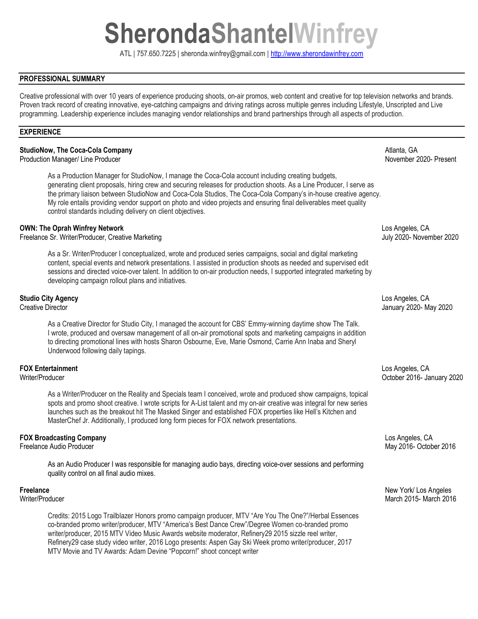# **SherondaShantelWinfrey**

ATL | 757.650.7225 | sheronda.winfrey@gmail.com | [http://www.sherondawinfrey.com](http://www.sherondawinfrey.com/)

## **PROFESSIONAL SUMMARY**

Creative professional with over 10 years of experience producing shoots, on-air promos, web content and creative for top television networks and brands. Proven track record of creating innovative, eye-catching campaigns and driving ratings across multiple genres including Lifestyle, Unscripted and Live programming. Leadership experience includes managing vendor relationships and brand partnerships through all aspects of production.

#### **EXPERIENCE**

### **StudioNow, The Coca-Cola Company**   $A$ tlanta, GA

Production Manager/ Line Producer November 2020- Present

As a Production Manager for StudioNow, I manage the Coca-Cola account including creating budgets, generating client proposals, hiring crew and securing releases for production shoots. As a Line Producer, I serve as the primary liaison between StudioNow and Coca-Cola Studios, The Coca-Cola Company's in-house creative agency. My role entails providing vendor support on photo and video projects and ensuring final deliverables meet quality control standards including delivery on client objectives.

#### **OWN: The Oprah Winfrey Network** Los Angeles, CA

Freelance Sr. Writer/Producer, Creative Marketing **State According to the Creative Marketing** July 2020- November 2020

As a Sr. Writer/Producer I conceptualized, wrote and produced series campaigns, social and digital marketing content, special events and network presentations. I assisted in production shoots as needed and supervised edit sessions and directed voice-over talent. In addition to on-air production needs, I supported integrated marketing by developing campaign rollout plans and initiatives.

As a Creative Director for Studio City, I managed the account for CBS' Emmy-winning daytime show The Talk. I wrote, produced and oversaw management of all on-air promotional spots and marketing campaigns in addition to directing promotional lines with hosts Sharon Osbourne, Eve, Marie Osmond, Carrie Ann Inaba and Sheryl Underwood following daily tapings.

# **FOX Entertainment** Los Angeles, CA

As a Writer/Producer on the Reality and Specials team I conceived, wrote and produced show campaigns, topical spots and promo shoot creative. I wrote scripts for A-List talent and my on-air creative was integral for new series launches such as the breakout hit The Masked Singer and established FOX properties like Hell's Kitchen and MasterChef Jr. Additionally, I produced long form pieces for FOX network presentations.

As an Audio Producer I was responsible for managing audio bays, directing voice-over sessions and performing quality control on all final audio mixes.

Credits: 2015 Logo Trailblazer Honors promo campaign producer, MTV "Are You The One?"/Herbal Essences co-branded promo writer/producer, MTV "America's Best Dance Crew"/Degree Women co-branded promo writer/producer, 2015 MTV Video Music Awards website moderator, Refinery29 2015 sizzle reel writer, Refinery29 case study video writer, 2016 Logo presents: Aspen Gay Ski Week promo writer/producer, 2017 MTV Movie and TV Awards: Adam Devine "Popcorn!" shoot concept writer

**Studio City Agency** Los Angeles, CA Creative Director January 2020- May 2020

Writer/Producer October 2016- January 2020

**FOX Broadcasting Company** Los Angeles, CA May 2016- October 2016

**Freelance** New York/ Los Angeles Writer/Producer 2015- March 2016 Number 2016